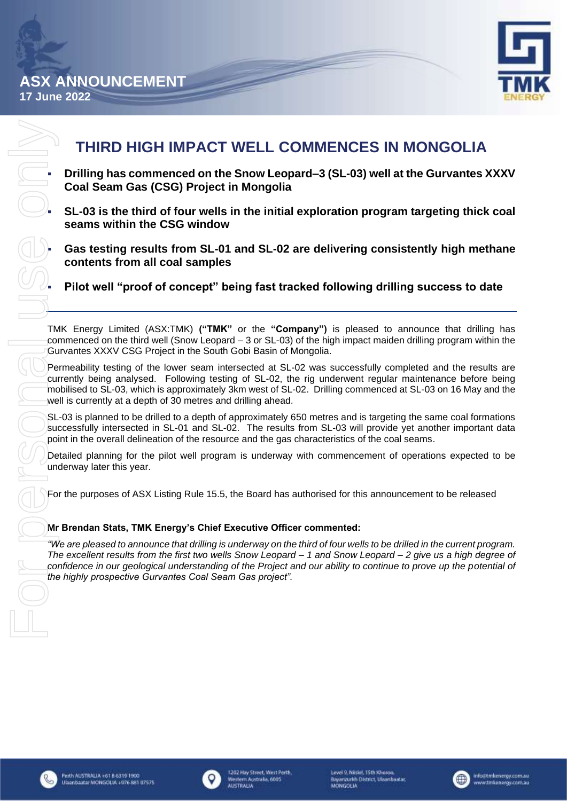

# **THIRD HIGH IMPACT WELL COMMENCES IN MONGOLIA**

▪ **Drilling has commenced on the Snow Leopard–3 (SL-03) well at the Gurvantes XXXV Coal Seam Gas (CSG) Project in Mongolia**

▪ **SL-03 is the third of four wells in the initial exploration program targeting thick coal seams within the CSG window**

Gas testing results from SL-01 and SL-02 are delivering consistently high methane **contents from all coal samples**

Pilot well "proof of concept" being fast tracked following drilling success to date

TMK Energy Limited (ASX:TMK) **("TMK"** or the **"Company")** is pleased to announce that drilling has commenced on the third well (Snow Leopard – 3 or SL-03) of the high impact maiden drilling program within the Gurvantes XXXV CSG Project in the South Gobi Basin of Mongolia.

Permeability testing of the lower seam intersected at SL-02 was successfully completed and the results are currently being analysed. Following testing of SL-02, the rig underwent regular maintenance before being mobilised to SL-03, which is approximately 3km west of SL-02. Drilling commenced at SL-03 on 16 May and the well is currently at a depth of 30 metres and drilling ahead.

SL-03 is planned to be drilled to a depth of approximately 650 metres and is targeting the same coal formations successfully intersected in SL-01 and SL-02. The results from SL-03 will provide yet another important data point in the overall delineation of the resource and the gas characteristics of the coal seams.

Detailed planning for the pilot well program is underway with commencement of operations expected to be underway later this year.

For the purposes of ASX Listing Rule 15.5, the Board has authorised for this announcement to be released

# **Mr Brendan Stats, TMK Energy's Chief Executive Officer commented:**

*"We are pleased to announce that drilling is underway on the third of four wells to be drilled in the current program. The excellent results from the first two wells Snow Leopard – 1 and Snow Leopard – 2 give us a high degree of confidence in our geological understanding of the Project and our ability to continue to prove up the potential of the highly prospective Gurvantes Coal Seam Gas project".*